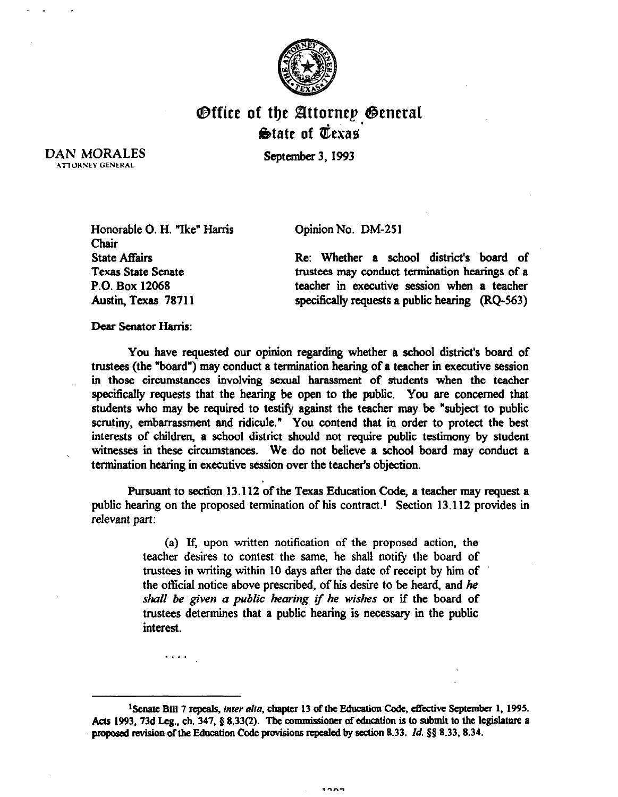

## Office of the Attorney General  $\bigcirc$ tate of Texas

September *3,1993* 

DAN MORALES **ATTORNEY GENERAL** 

Opinion No. DM-25 1

Honorable 0. H. "Ike" Harris Chair State Affairs Texas State Senate P.O. Box 12068 Austin, Texas 78711

. . .

Re: Whether a school district's board of trustees may conduct termination hearings of a teacher in executive session when a teacher specifically requests a public hearing (RQ-563)

Dear Senator Harris:

You have requested our opinion regarding whether a school district's board of trustees (the "board") may conduct a termination hearing of a teacher in executive session in those circumstances involving sexual harassment of students when the teacher specifically requests that the hearing be open to the public. You are concerned that students who may be required to testify against the teacher may be "subject to public scrutiny, embarrassment and ridicule." You contend that in order to protect the best interests of children, a school district should not require public testimony by student witnesses in these circumstances. We do not believe a school board may conduct a termination hearing in executive session over the teacher's objection.

Pursuant to section 13.112 of the Texas Education Code, a teacher may request a public hearing on the proposed termination of his contract.<sup>1</sup> Section 13.112 provides in relevant part:

> (a) If, upon written notification of the proposed action, the teacher desires to contest the same, he shall notify the board of trustees in writing within 10 days after the date of receipt by him of the official notice above prescribed, of his desire to be heard, and he *shall be given a public hearing if he wishes or if the* board of trustees determines that a public hearing is necessary in the public interest.

<sup>1</sup> Senate Bill 7 repeals, *inter alta*, chapter 13 of the Education Code, effective September 1, 1995. Acts 1993, 73d Leg., ch. 347, § 8.33(2). The commissioner of education is to submit to the legislature a proposed revision of the Education Code provisions repealed by section 8.33. *Id.* § 8.33, 8.34.

 $1222$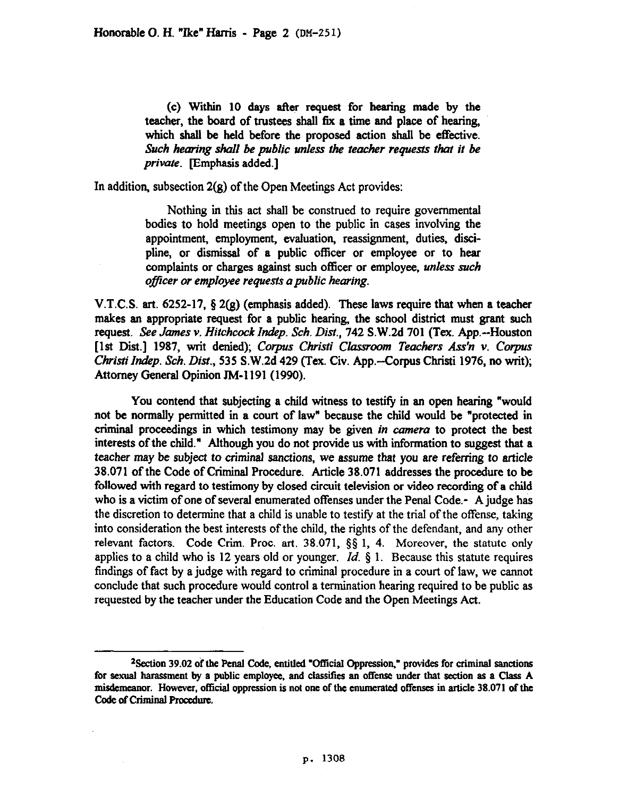(c) Within 10 days after request for hearing made by the teacher, the board of trustees shall fix a time and place of hearing, which shall be held before the proposed action shall be effective. *Such hearing shall be public unless the teacher requests that it be private.* Emphasis added.]

In addition, subsection 2(g) of the Open Meetings Act provides:

Nothing in this act shall be construed to require governmental bodies *to* hold meetings open to the public in cases involving the appointment, employment, evaluation, reassignment, duties, discipline, *or* dismissal of a public officer or employee or to hear complaints or charges against such officer or employee, unless *such oflcer or employee requests a public hearing.* 

V.T.C.S. art. 6252-17,  $\S 2(g)$  (emphasis added). These laws require that when a teacher makes an appropriate request for a public hearing, the school district must grant such request. *See James v. Hitchcock Indp. Sch. Dist.,* 742 S.W.2d 701 (Tex. App.--Houston [1st Dist.] 1987, writ denied); Corpus Christi Classroom Teachers Ass'n v. Corpus *Christi Indep. Sch. Dist., 535 S.W.2d 429 (Tex. Civ. App.--Corpus Christi 1976, no writ);* Attorney General Opinion TM-1191 (1990).

You contend that subjecting a child witness to testify in an open hearing "would not be normally permitted in a court of law" because the child would be "protected in criminal proceedings in which testimony may be given *in camera* to protect the best interests of the child." Although you do not provide us with information to suggest that a teacher may be subject *to criminal* sanctions, we assume that you are referring to article 38.071 of the Code of Criminal Procedure. Article 38.071 addresses the procedure to be followed with regard to testimony by closed circuit television or video recording of a child who is a victim of one of several enumerated offenses under the Penal Code.- A judge has the discretion to determine that a child is unable to testify at the trial of the offense, taking into consideration the best interests of the child, the rights of the defendant, and any other relevant factors. Code Grim. Proc. art. 38.071, \$5 1, 4. Moreover, the statute only applies to a child who is 12 years old or younger. *Id.*  $\S$  1. Because this statute requires findings of fact by a judge with regard to criminal procedure in a court of law, we cannot conclude that such procedure would control a termination hearing required to be public as requested by the teacher under the Education Code and the Open Meetings Act.

<sup>&</sup>lt;sup>2</sup> Section 39.02 of the Penal Code, entitled "Official Oppression," provides for criminal sanctions **for sexual harasment hy a public employee, and classities an offense under that section as a Class A misdemeanor. However, official oppression is not one of the enumerated offense5 in attide 38.071 of the Code of Criminal Procedure.**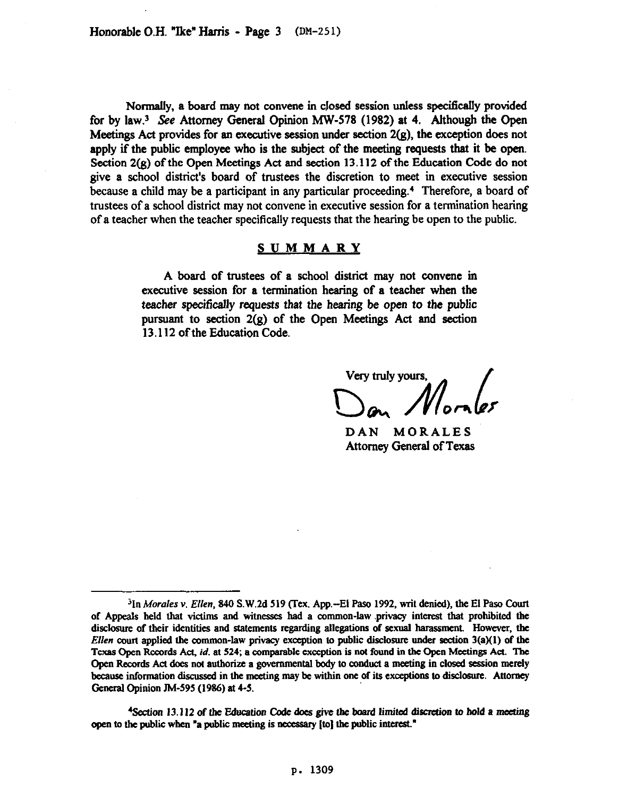Normally, a board may not convene in closed session unless specitically provided for by law.<sup>3</sup> See Attorney General Opinion MW-578 (1982) at 4. Although the Open Meetings Act provides for an executive session under section  $2(g)$ , the exception does not apply if the public employee who is the subject of the meeting requests that it be open. Section 2(g) of the Open Meetings Act and section 13.112 of the Education Code do not give a school district's board of trustees the discretion to meet in executive session because a child may be a participant in any particular proceeding.' Therefore, a board of trustees of a school district may not convene in executive session for a termination hearing of a teacher when the teacher specifically requests that the hearing be open to the public.

## **SUMMARY**

A board of trustees of a school district may not convene in executive session for a termination hearing of a teacher when the teacher specifically requests that the hearing be open to the public pursuant to section 2(g) of the Open Meetings Act and section 13.112 ofthe Education Code.

Very truly yours,

DAN MORALES Attorney General of Texas

<sup>4</sup>Section 13.112 of the Education Code does give the board limited discretion to hold a meeting open to the public when "a public meeting is necessary [to] the public interest."

<sup>&</sup>lt;sup>3</sup>In Morales v. Ellen, 840 S.W.2d 519 (Tex. App.--El Paso 1992, writ denied), the El Paso Court **of Appeals held that victims and witnesses had a common-law .privacy interest that prohibited the**  disclosure of their identities and statements regarding allegations of sexual harassment. However, the *Ellen* **court applied the common-law privacy exception to public disclosure under section 3(a)(l) of the Texas Open Records Act,** *id.* **at 524, a comparable exception is not found in the Open Meetings Act. The Open Recorda Act does not aulhorize a governmental body to condoct a meeting in closed session merely because information diswssed in the meeting may be within ooe of its exceptions to disclosue. Attomey Gcncral Opinion JM-595 (1986) at 4-S.**